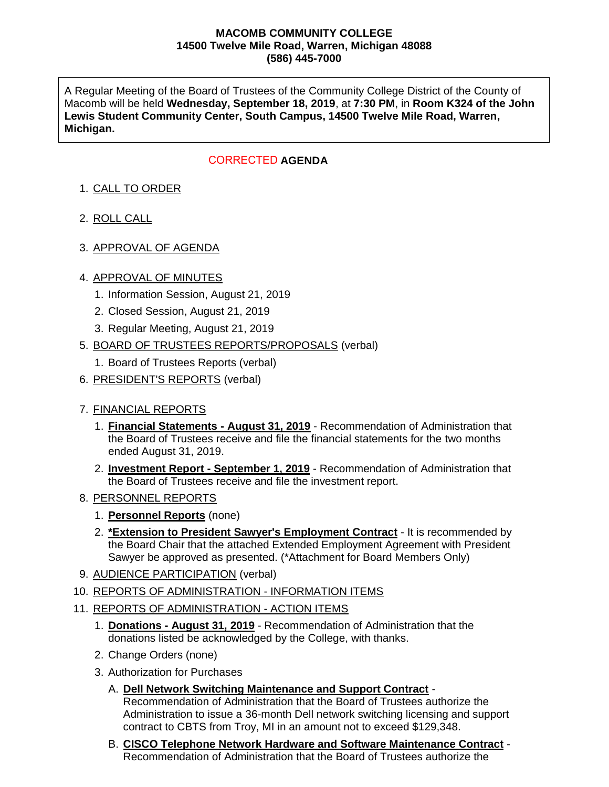#### **MACOMB COMMUNITY COLLEGE 14500 Twelve Mile Road, Warren, Michigan 48088 (586) 445-7000**

A Regular Meeting of the Board of Trustees of the Community College District of the County of Macomb will be held **Wednesday, September 18, 2019**, at **7:30 PM**, in **Room K324 of the John Lewis Student Community Center, South Campus, 14500 Twelve Mile Road, Warren, Michigan.**

## **CORRECTED AGENDA**

# 1. CALL TO ORDER

- 2. ROLL CALL
- 3. APPROVAL OF AGENDA

## 4. APPROVAL OF MINUTES

- 1. Information Session, August 21, 2019
- 2. Closed Session, August 21, 2019
- 3. Regular Meeting, August 21, 2019
- 5. BOARD OF TRUSTEES REPORTS/PROPOSALS (verbal)
	- 1. Board of Trustees Reports (verbal)
- 6. PRESIDENT'S REPORTS (verbal)

## 7. FINANCIAL REPORTS

- 1. **Financial Statements - August 31, 2019** Recommendation of Administration that the Board of Trustees receive and file the financial statements for the two months ended August 31, 2019.
- 2. **Investment Report - September 1, 2019** Recommendation of Administration that the Board of Trustees receive and file the investment report.
- 8. PERSONNEL REPORTS
	- 1. **Personnel Reports** (none)
	- 2. **\*Extension to President Sawyer's Employment Contract** It is recommended by the Board Chair that the attached Extended Employment Agreement with President Sawyer be approved as presented. (\*Attachment for Board Members Only)
- 9. AUDIENCE PARTICIPATION (verbal)
- 10. REPORTS OF ADMINISTRATION INFORMATION ITEMS
- 11. REPORTS OF ADMINISTRATION ACTION ITEMS
	- 1. **Donations - August 31, 2019** Recommendation of Administration that the donations listed be acknowledged by the College, with thanks.
	- 2. Change Orders (none)
	- 3. Authorization for Purchases
		- A. **Dell Network Switching Maintenance and Support Contract** Recommendation of Administration that the Board of Trustees authorize the Administration to issue a 36-month Dell network switching licensing and support contract to CBTS from Troy, MI in an amount not to exceed \$129,348.
		- B. **CISCO Telephone Network Hardware and Software Maintenance Contract** Recommendation of Administration that the Board of Trustees authorize the